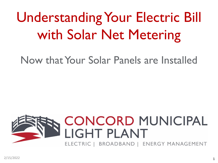# Understanding Your Electric Bill with Solar Net Metering

Now that Your Solar Panels are Installed

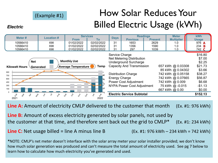### (Example #1)

### How Solar Reduces Your Billed Electric Usage (kWh)

#### **Electric**

| \$16.80<br>Service Charge<br>\$7.00<br>Net Metering Distribution<br><b>Monthly Use</b><br><b>Net</b><br>Underground Surcharge<br>\$2.25<br>Capacity And Transmission<br>\$21.73<br>657 kWh @ 0.03308<br>Temp<br><b>Average Temperature</b><br><b>Kilowatt Hours</b><br>Generated<br>85 kWh @ 0.04302<br>\$3.66<br>900<br>742 kWh @ 0.05158<br>\$38.27<br><b>Distribution Charge</b><br><b>BO</b><br>750<br>742 kWh @ 0.07665<br>\$56.87<br>Energy Charge<br>600<br>742 kWh @ 0.009<br>\$6.68<br>Power Cost Adjustment<br>450<br>30<br>300<br>NYPA Power Cost Adjustment<br>75 kWh @-0.015<br>$-$1.13$<br>150<br>667 kWh @ 0.00<br>\$0.00<br><b>Electric Service Subtotal</b><br>\$ | Meter#<br>10566410<br>10566410<br>10566410 | <b>Location#</b><br>698<br>698<br>698 | <b>Services</b><br><b>From</b><br>01/02/2022<br>01/02/2022<br>01/02/2022 | To<br>02/02/2022<br>02/02/2022<br>02/02/2022 | <b>Days</b><br>31<br>31<br>31 | <b>Previous</b><br>1653<br>1356<br>297 | <b>Readings</b><br><b>Present</b><br>2629<br>1590<br>1039 | <b>Meter</b><br><b>Multiplier</b><br>1.0<br>1.0<br>1.0 | kWh<br><b>Usage</b><br>976 A<br>234<br>- B<br>742 C |
|------------------------------------------------------------------------------------------------------------------------------------------------------------------------------------------------------------------------------------------------------------------------------------------------------------------------------------------------------------------------------------------------------------------------------------------------------------------------------------------------------------------------------------------------------------------------------------------------------------------------------------------------------------------------------------|--------------------------------------------|---------------------------------------|--------------------------------------------------------------------------|----------------------------------------------|-------------------------------|----------------------------------------|-----------------------------------------------------------|--------------------------------------------------------|-----------------------------------------------------|
|                                                                                                                                                                                                                                                                                                                                                                                                                                                                                                                                                                                                                                                                                    |                                            | D.                                    |                                                                          |                                              |                               |                                        |                                                           |                                                        | \$152.13                                            |

**Line A:** Amount of electricity CMLP delivered to the customer that month (Ex. #1: 976 kWh)

**Line B:** Amount of excess electricity generated by solar panels, not used by the customer at that time, and therefore sent back out the grid to  $CMLP^*$  (Ex. #1: 234 kWh)

**Line C:** Net usage billed = line A minus line B  $(Ex. #1: 976 kWh - 234 kWh = 742 kWh)$ 

**\***NOTE: CMLP's net meter doesn't interface with the solar array meter your solar installer provided; we don't know how much solar generation was produced and can't measure the total amount of electricity used. See pg 7 below to learn how to calculate how much electricity you've generated and used.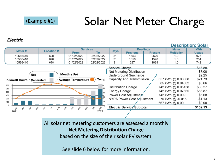**Electric** 

### Solar Net Meter Charge

#### **Description: Solar kWh Readings Meter Services** Meter# Location # **Days Previous Present From** To **Multiplier Usage** 10566410 698 01/02/2022 02/02/2022 31 2629  $1.0$ 976 1653 10566410 698 01/02/2022 02/02/2022 31 1356 1590  $1.0$ 234 10566410 698 01/02/2022 02/02/2022 31 297 1039 742  $1.0$ **Service Charge**  $$16.80$ \$7.00 Net Metering Distribution **Monthly Use Net Underground Surcharge S2.25** 657 kWh @ 0.03308 Capacity And Transmission \$21.73 **Average Temperature** Temp **Kilowatt Hours** Generated 85 kWh @ 0.04302 \$3.66 900 \$38.27 **Distribution Charge** 742 kWh @ 0.05158 750 **Energy Charge** 742 kWh @ 0.07665 \$56.87 600 Power Cost Adjustment 742 kWh @ 0.009 \$6.68 450 NYPA Power Cost Adjustment 75 kWh @ -0.015  $-$1.13$ 300 150 \$0.00 667 kWh @ 0.00 Electric Service Subtotal ູຂໍ \$152.13 2021 2022

All solar net metering customers are assessed a monthly **Net Metering Distribution Charge**  based on the size of their solar PV system.

See slide 6 below for more information.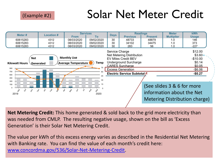#### (Example #2)

### Solar Net Meter Credit

| <b>Location#</b><br>Meter#<br><b>Days</b><br><b>From</b><br>To<br>60615283<br>08/03/2020<br>09/02/2020<br>30<br>4312<br>30<br>60615283<br>08/03/2020<br>09/02/2020<br>4312<br>60615283<br>08/03/2020<br>09/02/2020<br>30<br>4312                                                                                                   | <b>Previous</b><br><b>Present</b><br>48733<br>48879<br>34102<br>34475 | <b>Multiplier</b><br>1.0                                | <b>Usage</b><br>146                                                           |
|------------------------------------------------------------------------------------------------------------------------------------------------------------------------------------------------------------------------------------------------------------------------------------------------------------------------------------|-----------------------------------------------------------------------|---------------------------------------------------------|-------------------------------------------------------------------------------|
|                                                                                                                                                                                                                                                                                                                                    |                                                                       |                                                         |                                                                               |
|                                                                                                                                                                                                                                                                                                                                    |                                                                       |                                                         |                                                                               |
|                                                                                                                                                                                                                                                                                                                                    |                                                                       | 1.0                                                     | 373                                                                           |
|                                                                                                                                                                                                                                                                                                                                    | 283<br>56                                                             | 1.0                                                     | $-227$                                                                        |
| Service Charge<br>Net Metering Distribution<br><b>Monthly Use</b><br><b>Net</b><br><b>EV Miles Credit BEV</b><br>Underground Surcharge<br>Temp<br><b>Average Temperature</b><br><b>Kilowatt Hours</b><br>Generated<br><b>CARES Surcharge</b><br>75<br>900<br><b>Excess Generation</b><br>750<br>Electric Service Subtotal 1<br>600 |                                                                       |                                                         | \$12.00<br>$$3.60 +$<br>$-$10.00$<br>\$0.14<br>\$0.05<br>$-$6.06$<br>$-$0.27$ |
| 450<br>30<br>300<br>15<br>150<br>$\Omega$<br>$\circ$<br>8<br>൙<br>is<br>ART<br>Ş<br>cs<br>-\$<br>ۿڿ<br>❖<br>2019<br>2020                                                                                                                                                                                                           |                                                                       | (See slides 3 & 6 for more<br>information about the Net | Metering Distribution charge)                                                 |

**Net Metering Credit:** This home generated & sold back to the grid more electricity than was needed from CMLP. The resulting negative usage, shown on the bill as 'Excess Generation' is their Solar Net Metering Credit.

The value per kWh of this excess energy varies as described in the Residential Net Metering with Banking rate. You can find the value of each month's credit here: [www.concordma.gov/536/Solar-Net-Metering-Credit.](http://www.concordma.gov/536/Solar-Net-Metering-Credit)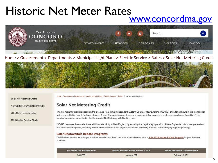# Historic Net Meter Rates

### [www.concordma.gov](http://www.concordma.gov/)



Home > Government > Departments > Municipal Light Plant > Electric Service > Rates > Solar Net Metering Credit



Solar Net Metering Credit

New York Power Authority Credit

2021 CMLP Electric Rates

2020 Cost of Service Study

Home > Government > Departments > Municipal Light Plant > Electric Service > Rates > Solar Net Metering Credit

#### **Solar Net Metering Credit**

The net metering credit is based on the average Real Time Independent System Operator-New England (ISO-NE) price for all hours in the month prior to the current billing month between 9 a.m. - 4 p.m. The credit amount for energy generated that exceeds a customer's purchases from CMLP is a variable amount as described in the Residential Net Metering with Banking rate.

ISO-NE oversees the constant availability of electricity in New England by ensuring the day-to-day operation of New England's bulk power generation and transmission system, ensuring the fair administration of the region's wholesale electricity markets, and managing regional planning.

#### **Solar Photovoltaic Rebate Programs**

CMLP offers rebates for solar photovoltaic installations. Read more for information about our Solar Photovoltaic Rebate Program for your home or business.

| Net credit per Kilowatt Hour | Month Kilowatt Hours sold to CMLP | Month customer's bill rendered |
|------------------------------|-----------------------------------|--------------------------------|
| \$0.07651                    | January 2021                      | February 2021                  |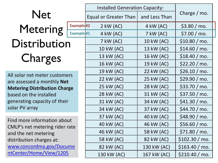# **Net** Metering **Example #2 Distribution** Charges

All solar net meter customers are assessed a monthly **Net Metering Distribution Charge**  based on the installed generating capacity of their solar PV array

Find more information about CMLP's net metering rider rate and the net metering distribution charges at: [www.concordma.gov/Docume](http://www.concordma.gov/DocumentCenter/Home/View/1205)

ntCenter/Home/View/1205

|                     | <b>Installed Generation Capacity:</b> |               |                |  |
|---------------------|---------------------------------------|---------------|----------------|--|
|                     | <b>Equal or Greater Than</b>          | and Less Than | Charge $/mo$ . |  |
| Example#2           | $2$ kW (AC)                           | $4$ kW (AC)   | \$3.80 / mo.   |  |
| Example#1           | 4 kW (AC)                             | 7 kW (AC)     | \$7.00 / mo.   |  |
|                     | 7 kW (AC)                             | 10 kW (AC)    | \$10.80 / mo.  |  |
|                     | 10 kW (AC)                            | 13 kW (AC)    | \$14.60 / mo.  |  |
|                     | 13 kW (AC)                            | 16 kW (AC)    | \$18.40 / mo.  |  |
|                     | 16 kW (AC)                            | 19 kW (AC)    | \$22.20 / mo.  |  |
|                     | 19 kW (AC)                            | 22 kW (AC)    | \$26.10 / mo.  |  |
| `S                  | 22 kW (AC)                            | 25 kW (AC)    | \$29.90 / mo.  |  |
| e;                  | 25 kW (AC)                            | 28 kW (AC)    | \$33.70 / mo.  |  |
|                     | 28 kW (AC)                            | 31 kW (AC)    | \$37.50 / mo.  |  |
|                     | 31 kW (AC)                            | 34 kW (AC)    | \$41.30 / mo.  |  |
|                     | 34 kW (AC)                            | 37 kW (AC)    | \$44.70 / mo.  |  |
|                     | 37 kW (AC)                            | 40 kW (AC)    | \$48.90 / mo.  |  |
| $\mathsf{t}$<br>ate | 40 kW (AC)                            | 46 kW (AC)    | \$56.60 / mo.  |  |
|                     | 46 kW (AC)                            | 58 kW (AC)    | \$71.80 / mo.  |  |
|                     | 58 kW (AC)                            | 82 kW (AC)    | \$102.30 / mo. |  |
| ne                  | 82 kW (AC)                            | 130 kW (AC)   | \$163.40 / mo. |  |
|                     | 130 kW (AC)                           | 167 kW (AC)   | \$210.40 / mo. |  |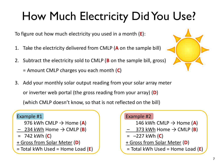# How Much Electricity Did You Use?

To figure out how much electricity you used in a month (**E**):

- 1. Take the electricity delivered from CMLP (**A** on the sample bill)
- 2. Subtract the electricity sold to CMLP (**B** on the sample bill, gross) = Amount CMLP charges you each month (**C**)
- 3. Add your monthly solar output reading from your solar array meter or inverter web portal (the gross reading from your array) (**D**) (which CMLP doesn't know, so that is not reflected on the bill)

#### Example #1

976 kWh CMLP  $\rightarrow$  Home (A)

- 234 kWh Home  $\rightarrow$  CMLP (**B**)
- = 742 kWh (**C**)
- + Gross from Solar Meter (**D**)
- = Total kWh Used = Home Load (**E**)

#### Example #2

- 146 kWh CMLP  $\rightarrow$  Home (A)
- 373 kWh Home  $\rightarrow$  CMLP (**B**)
- = –227 kWh (**C**)
- + Gross from Solar Meter (**D**)
- = Total kWh Used = Home Load (**E**)

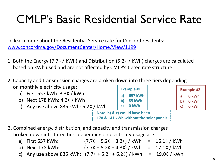### CMLP's Basic Residential Service Rate

To learn more about the Residential Service rate for Concord residents: [www.concordma.gov/DocumentCenter/Home/View/1199](http://www.concordma.gov/DocumentCenter/Home/View/1199)

- 1. Both the Energy (7.7¢ / kWh) and Distribution (5.2¢ / kWh) charges are calculated based on kWh used and are not affected by CMLP's tiered rate structure.
- 2. Capacity and transmission charges are broken down into three tiers depending on monthly electricity usage: **Example #1**



- 3. Combined energy, distribution, and capacity and transmission charges broken down into three tiers depending on electricity usage are:
	- a) First 657 kWh: (7.7¢ + 5.2¢ + 3.3¢) / kWh = 16.1¢ / kWh
	- b) Next 178 kWh: (7.7¢ + 5.2¢ + 4.3¢) / kWh = 17.1¢ / kWh
	- c) Any use above 835 kWh:  $(7.7c + 5.2c + 6.2c)$  / kWh = 19.0¢ / kWh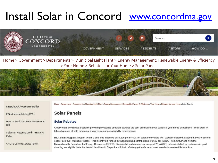### Install Solar in Concord www.concordma.gov



Home > Government > Departments > Municipal Light Plant > Energy Management: Renewable Energy & Efficiency > Your Home > Rebates for Your Home > Solar Panels



Lease/Buy/Choose an Installer

EPA video explaining RECs

How to Read Your Solar Net Metered Bill

Solar Net Metering Credit - Historic Rates

**CMLP's Current Service Rates** 

Home > Government > Departments > Municipal Light Plant > Energy Management: Renewable Energy & Efficiency > Your Home > Rebates for your Home > Solar Panels

#### **Solar Panels**

#### **Solar Rebates**

CMLP offers two rebate programs providing thousands of dollars towards the cost of installing solar panels at your home or business. You'll want to take advantage of both programs, if your system meets eligibility requirements.

MLP Solar Program Rebate: Offers a one-time incentive of \$1,200 per kW(DC) of solar photovoltaic (PV) capacity installed, capped at 50% of system cost or \$30,000, whichever is less. This incentive is funded through matching contributions of \$600 per kW(DC) from CMLP and from the Massachusetts Department of Energy Resources (DOER). Residential and commercial arrays of 25 kW(DC) or less installed by customers in good standing are eligible. Note the bolded deadlines in Steps 4 and 8 that rebate applicants must meet in order to receive this incentive.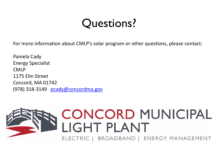### Questions?

For more information about CMLP's solar program or other questions, please contact:

Pamela Cady Energy Specialist CMLP 1175 Elm Street Concord, MA 01742 (978) 318-3149 [pcady@concordma.gov](mailto:pcady@concordma.gov)



# CONCORD MUNICIPAL<br>LIGHT PLANT

ELECTRIC | BROADBAND | ENERGY MANAGEMENT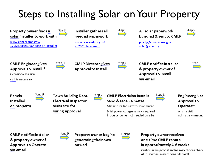### Steps to Installing Solar on Your Property



& property owner of **Approval to Operate** via email



generating their own power!



one-time CMLP rebate in approximately 4-6 weeks

Customers in good standing may choose check All customers may choose bill credit